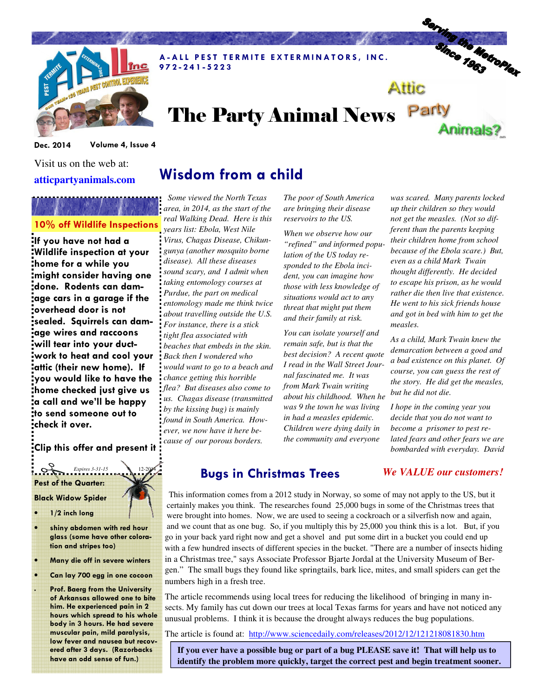

A-ALL PEST TERMITE EXTERMINATORS, INC. 9 7 2 - 2 4 1 - 5 2 2 3

# The Party Animal News Party Animals?

Dec. 2014 Volume 4, Issue 4

Visit us on the web at: **atticpartyanimals.com** 

## 10% off Wildlife Inspections

If you have not had a Wildlife inspection at your home for a while you might consider having one done. Rodents can damage cars in a garage if the overhead door is not sealed. Squirrels can damage wires and raccoons will tear into your ductwork to heat and cool your attic (their new home). If you would like to have the home checked just give us a call and we'll be happy to send someone out to check it over.

Clip this offer and present it

### Pest of the Quarter: **Expires 3-31-15**

#### Black Widow Spider

- 1/2 inch long
- shiny abdomen with red hour glass (some have other coloration and stripes too)
- Many die off in severe winters
- Can lay 700 egg in one cocoon

Prof. Baerg from the University of Arkansas allowed one to bite him. He experienced pain in 2 hours which spread to his whole body in 3 hours. He had severe muscular pain, mild paralysis, low fever and nausea but recovered after 3 days. (Razorbacks have an odd sense of fun.)

# Wisdom from a child

 *Some viewed the North Texas area, in 2014, as the start of the real Walking Dead. Here is this years list: Ebola, West Nile Virus, Chagas Disease, Chikungunya (another mosquito borne disease). All these diseases sound scary, and I admit when taking entomology courses at Purdue, the part on medical entomology made me think twice about travelling outside the U.S. For instance, there is a stick tight flea associated with beaches that embeds in the skin. Back then I wondered who would want to go to a beach and chance getting this horrible flea? But diseases also come to us. Chagas disease (transmitted by the kissing bug) is mainly found in South America. However, we now have it here because of our porous borders.* 

*The poor of South America are bringing their disease reservoirs to the US.* 

*When we observe how our "refined" and informed population of the US today responded to the Ebola incident, you can imagine how those with less knowledge of situations would act to any threat that might put them and their family at risk.* 

*You can isolate yourself and remain safe, but is that the best decision? A recent quote I read in the Wall Street Journal fascinated me. It was from Mark Twain writing about his childhood. When he was 9 the town he was living in had a measles epidemic. Children were dying daily in the community and everyone* 

*was scared. Many parents locked up their children so they would not get the measles. (Not so different than the parents keeping their children home from school because of the Ebola scare.) But, even as a child Mark Twain thought differently. He decided to escape his prison, as he would rather die then live that existence. He went to his sick friends house and got in bed with him to get the measles.* 

Serving the Metroplex

Attic

*As a child, Mark Twain knew the demarcation between a good and a bad existence on this planet. Of course, you can guess the rest of the story. He did get the measles, but he did not die.* 

*I hope in the coming year you decide that you do not want to become a prisoner to pest related fears and other fears we are bombarded with everyday. David*

### Bugs in Christmas Trees

 This information comes from a 2012 study in Norway, so some of may not apply to the US, but it certainly makes you think. The researches found 25,000 bugs in some of the Christmas trees that were brought into homes. Now, we are used to seeing a cockroach or a silverfish now and again, and we count that as one bug. So, if you multiply this by 25,000 you think this is a lot. But, if you go in your back yard right now and get a shovel and put some dirt in a bucket you could end up with a few hundred insects of different species in the bucket. "There are a number of insects hiding in a Christmas tree," says Associate Professor Bjarte Jordal at the University Museum of Bergen." The small bugs they found like springtails, bark lice, mites, and small spiders can get the numbers high in a fresh tree.

The article recommends using local trees for reducing the likelihood of bringing in many insects. My family has cut down our trees at local Texas farms for years and have not noticed any unusual problems. I think it is because the drought always reduces the bug populations.

The article is found at: http://www.sciencedaily.com/releases/2012/12/121218081830.htm

**If you ever have a possible bug or part of a bug PLEASE save it! That will help us to identify the problem more quickly, target the correct pest and begin treatment sooner.** 

### *We VALUE our customers!*